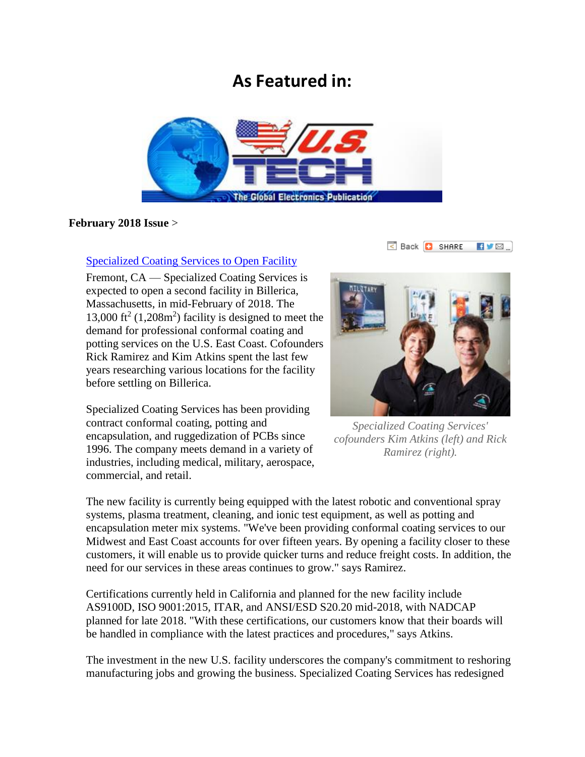## **As Featured in:**



## **February 2018 Issue** >

Back **D** SHARE  $\blacksquare$ 

## [Specialized Coating Services to Open Facility](http://www.us-tech.com/RelId/1897607/ISvars/default/Specialized_Coating_Services_to_Open_Facility.htm)

Fremont, CA — Specialized Coating Services is expected to open a second facility in Billerica, Massachusetts, in mid-February of 2018. The 13,000 ft<sup>2</sup> (1,208m<sup>2</sup>) facility is designed to meet the demand for professional conformal coating and potting services on the U.S. East Coast. Cofounders Rick Ramirez and Kim Atkins spent the last few years researching various locations for the facility before settling on Billerica.

Specialized Coating Services has been providing contract conformal coating, potting and encapsulation, and ruggedization of PCBs since 1996. The company meets demand in a variety of industries, including medical, military, aerospace, commercial, and retail.



*Specialized Coating Services' cofounders Kim Atkins (left) and Rick Ramirez (right).* 

The new facility is currently being equipped with the latest robotic and conventional spray systems, plasma treatment, cleaning, and ionic test equipment, as well as potting and encapsulation meter mix systems. "We've been providing conformal coating services to our Midwest and East Coast accounts for over fifteen years. By opening a facility closer to these customers, it will enable us to provide quicker turns and reduce freight costs. In addition, the need for our services in these areas continues to grow." says Ramirez.

Certifications currently held in California and planned for the new facility include AS9100D, ISO 9001:2015, ITAR, and ANSI/ESD S20.20 mid-2018, with NADCAP planned for late 2018. "With these certifications, our customers know that their boards will be handled in compliance with the latest practices and procedures," says Atkins.

The investment in the new U.S. facility underscores the company's commitment to reshoring manufacturing jobs and growing the business. Specialized Coating Services has redesigned